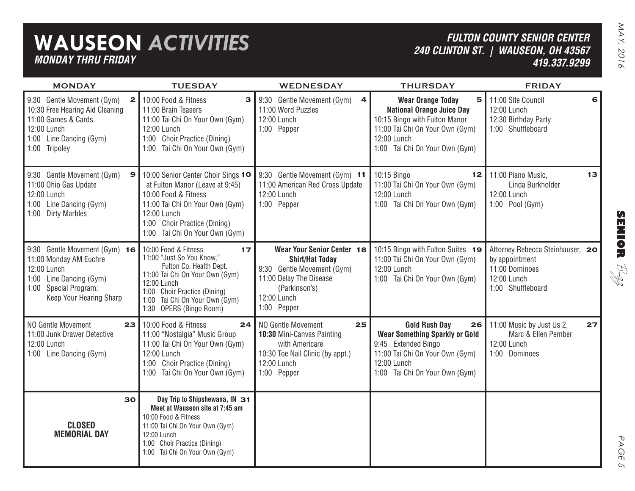## **WAUSEON** *ACTIVITIES MONDAY THRU FRIDAY*

*FULTON COUNTY SENIOR CENTER 240 CLINTON ST. | WAUSEON, OH 43567 419.337.9299*

| <b>MONDAY</b>                                                                                                                                                              | <b>TUESDAY</b>                                                                                                                                                                                                                    | WEDNESDAY                                                                                                                                                    | <b>THURSDAY</b>                                                                                                                                                                        | <b>FRIDAY</b>                                                                                            |
|----------------------------------------------------------------------------------------------------------------------------------------------------------------------------|-----------------------------------------------------------------------------------------------------------------------------------------------------------------------------------------------------------------------------------|--------------------------------------------------------------------------------------------------------------------------------------------------------------|----------------------------------------------------------------------------------------------------------------------------------------------------------------------------------------|----------------------------------------------------------------------------------------------------------|
| $\overline{\mathbf{2}}$<br>9:30 Gentle Movement (Gym)<br>10:30 Free Hearing Aid Cleaning<br>11:00 Games & Cards<br>12:00 Lunch<br>1:00 Line Dancing (Gym)<br>1:00 Tripoley | 10:00 Food & Fitness<br>з<br>11:00 Brain Teasers<br>11:00 Tai Chi On Your Own (Gym)<br>12:00 Lunch<br>1:00 Choir Practice (Dining)<br>1:00 Tai Chi On Your Own (Gym)                                                              | 9:30 Gentle Movement (Gym)<br>$\overline{\mathbf{4}}$<br>11:00 Word Puzzles<br>12:00 Lunch<br>1:00 Pepper                                                    | <b>Wear Orange Today</b><br>5<br><b>National Orange Juice Day</b><br>10:15 Bingo with Fulton Manor<br>11:00 Tai Chi On Your Own (Gym)<br>12:00 Lunch<br>1:00 Tai Chi On Your Own (Gym) | 11:00 Site Council<br>6<br>12:00 Lunch<br>12:30 Birthday Party<br>1:00 Shuffleboard                      |
| 9:30 Gentle Movement (Gym)<br>$\mathbf{9}$<br>11:00 Ohio Gas Update<br>12:00 Lunch<br>1:00 Line Dancing (Gym)<br>1:00 Dirty Marbles                                        | 10:00 Senior Center Choir Sings 10<br>at Fulton Manor (Leave at 9:45)<br>10:00 Food & Fitness<br>11:00 Tai Chi On Your Own (Gym)<br>12:00 Lunch<br>1:00 Choir Practice (Dining)<br>1:00 Tai Chi On Your Own (Gym)                 | 9:30 Gentle Movement (Gym) 11<br>11:00 American Red Cross Update<br>12:00 Lunch<br>1:00 Pepper                                                               | 10:15 Bingo<br>12 <sub>1</sub><br>11:00 Tai Chi On Your Own (Gym)<br>12:00 Lunch<br>1:00 Tai Chi On Your Own (Gym)                                                                     | 11:00 Piano Music,<br>13<br>Linda Burkholder<br>12:00 Lunch<br>1:00 Pool (Gym)                           |
| 9:30 Gentle Movement (Gym) 16<br>11:00 Monday AM Euchre<br>12:00 Lunch<br>1:00 Line Dancing (Gym)<br>1:00 Special Program:<br>Keep Your Hearing Sharp                      | 10:00 Food & Fitness<br>17<br>11:00 "Just So You Know,"<br>Fulton Co. Health Dept.<br>11:00 Tai Chi On Your Own (Gym)<br>12:00 Lunch<br>1:00 Choir Practice (Dining)<br>1:00 Tai Chi On Your Own (Gym)<br>1:30 OPERS (Bingo Room) | Wear Your Senior Center 18<br><b>Shirt/Hat Today</b><br>9:30 Gentle Movement (Gym)<br>11:00 Delay The Disease<br>(Parkinson's)<br>12:00 Lunch<br>1:00 Pepper | 10:15 Bingo with Fulton Suites 19<br>11:00 Tai Chi On Your Own (Gym)<br>12:00 Lunch<br>1:00 Tai Chi On Your Own (Gym)                                                                  | Attorney Rebecca Steinhauser, 20<br>by appointment<br>11:00 Dominoes<br>12:00 Lunch<br>1:00 Shuffleboard |
| NO Gentle Movement<br>23<br>11:00 Junk Drawer Detective<br>12:00 Lunch<br>1:00 Line Dancing (Gym)                                                                          | 10:00 Food & Fitness<br>24<br>11:00 "Nostalgia" Music Group<br>11:00 Tai Chi On Your Own (Gym)<br>12:00 Lunch<br>1:00 Choir Practice (Dining)<br>1:00 Tai Chi On Your Own (Gym)                                                   | NO Gentle Movement<br>25<br>10:30 Mini-Canvas Painting<br>with Americare<br>10:30 Toe Nail Clinic (by appt.)<br>12:00 Lunch<br>1:00 Pepper                   | <b>Gold Rush Day</b><br><b>Wear Something Sparkly or Gold</b><br>9:45 Extended Bingo<br>11:00 Tai Chi On Your Own (Gym)<br>12:00 Lunch<br>1:00 Tai Chi On Your Own (Gym)               | $26$   11:00 Music by Just Us 2,<br>27<br>Marc & Ellen Pember<br>12:00 Lunch<br>1:00 Dominoes            |
| 30<br><b>CLOSED</b><br><b>MEMORIAL DAY</b>                                                                                                                                 | Day Trip to Shipshewana, IN 31<br>Meet at Wauseon site at 7:45 am<br>10:00 Food & Fitness<br>11:00 Tai Chi On Your Own (Gym)<br>12:00 Lunch<br>1:00 Choir Practice (Dining)<br>1:00 Tai Chi On Your Own (Gym)                     |                                                                                                                                                              |                                                                                                                                                                                        |                                                                                                          |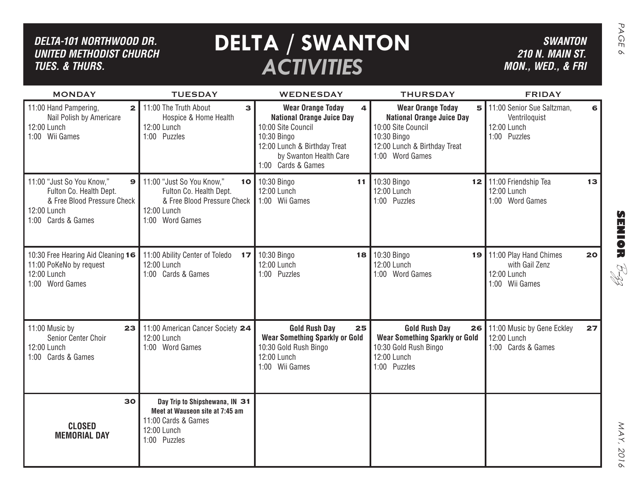| <b>DELTA / SWANTON</b><br>DELTA-101 NORTHWOOD DR.<br><b>UNITED METHODIST CHURCH</b><br><b>ACTIVITIES</b><br><b>TUES. &amp; THURS.</b> |                                                                                                                         |                                                                                                                                                                                        |                                                                                                                                                           | <b>SWANTON</b><br><b>210 N. MAIN ST.</b><br>MON., WED., & FRI              |    |
|---------------------------------------------------------------------------------------------------------------------------------------|-------------------------------------------------------------------------------------------------------------------------|----------------------------------------------------------------------------------------------------------------------------------------------------------------------------------------|-----------------------------------------------------------------------------------------------------------------------------------------------------------|----------------------------------------------------------------------------|----|
| <b>MONDAY</b>                                                                                                                         | <b>TUESDAY</b>                                                                                                          | <b>WEDNESDAY</b>                                                                                                                                                                       | <b>THURSDAY</b>                                                                                                                                           | <b>FRIDAY</b>                                                              |    |
| 11:00 Hand Pampering,<br>$\mathbf{2}$<br>Nail Polish by Americare<br>12:00 Lunch<br>1:00 Wii Games                                    | 11:00 The Truth About<br>3<br>Hospice & Home Health<br>12:00 Lunch<br>1:00 Puzzles                                      | <b>Wear Orange Today</b><br>4<br><b>National Orange Juice Day</b><br>10:00 Site Council<br>10:30 Bingo<br>12:00 Lunch & Birthday Treat<br>by Swanton Health Care<br>1:00 Cards & Games | <b>Wear Orange Today</b><br>5<br><b>National Orange Juice Day</b><br>10:00 Site Council<br>10:30 Bingo<br>12:00 Lunch & Birthday Treat<br>1:00 Word Games | 11:00 Senior Sue Saltzman,<br>Ventriloquist<br>12:00 Lunch<br>1:00 Puzzles |    |
| 11:00 "Just So You Know,"<br>9<br>Fulton Co. Health Dept.<br>& Free Blood Pressure Check<br>12:00 Lunch<br>1:00 Cards & Games         | 11:00 "Just So You Know,"<br>Fulton Co. Health Dept.<br>& Free Blood Pressure Check<br>12:00 Lunch<br>1:00 Word Games   | 10 10:30 Bingo<br>11 <sub>1</sub><br>12:00 Lunch<br>1:00 Wii Games                                                                                                                     | 10:30 Bingo<br>12:00 Lunch<br>1:00 Puzzles                                                                                                                | 12 11:00 Friendship Tea<br>12:00 Lunch<br>1:00 Word Games                  | 13 |
| 10:30 Free Hearing Aid Cleaning 16<br>11:00 PoKeNo by request<br>12:00 Lunch<br>1:00 Word Games                                       | 11:00 Ability Center of Toledo<br>17<br>12:00 Lunch<br>1:00 Cards & Games                                               | 10:30 Bingo<br>12:00 Lunch<br>1:00 Puzzles                                                                                                                                             | 18 10:30 Bingo<br>19<br>12:00 Lunch<br>1:00 Word Games                                                                                                    | 11:00 Play Hand Chimes<br>with Gail Zenz<br>12:00 Lunch<br>1:00 Wii Games  | 20 |
| 11:00 Music by<br>23<br>Senior Center Choir<br>12:00 Lunch<br>1:00 Cards & Games                                                      | 11:00 American Cancer Society 24<br>12:00 Lunch<br>1:00 Word Games                                                      | <b>Gold Rush Day</b><br>25<br><b>Wear Something Sparkly or Gold</b><br>10:30 Gold Rush Bingo<br>12:00 Lunch<br>1:00 Wii Games                                                          | <b>Gold Rush Day</b><br>26<br><b>Wear Something Sparkly or Gold</b><br>10:30 Gold Rush Bingo<br>12:00 Lunch<br>1:00 Puzzles                               | 11:00 Music by Gene Eckley<br>12:00 Lunch<br>1:00 Cards & Games            | 27 |
| 30<br><b>CLOSED</b><br><b>MEMORIAL DAY</b>                                                                                            | Day Trip to Shipshewana, IN 31<br>Meet at Wauseon site at 7:45 am<br>11:00 Cards & Games<br>12:00 Lunch<br>1:00 Puzzles |                                                                                                                                                                                        |                                                                                                                                                           |                                                                            |    |